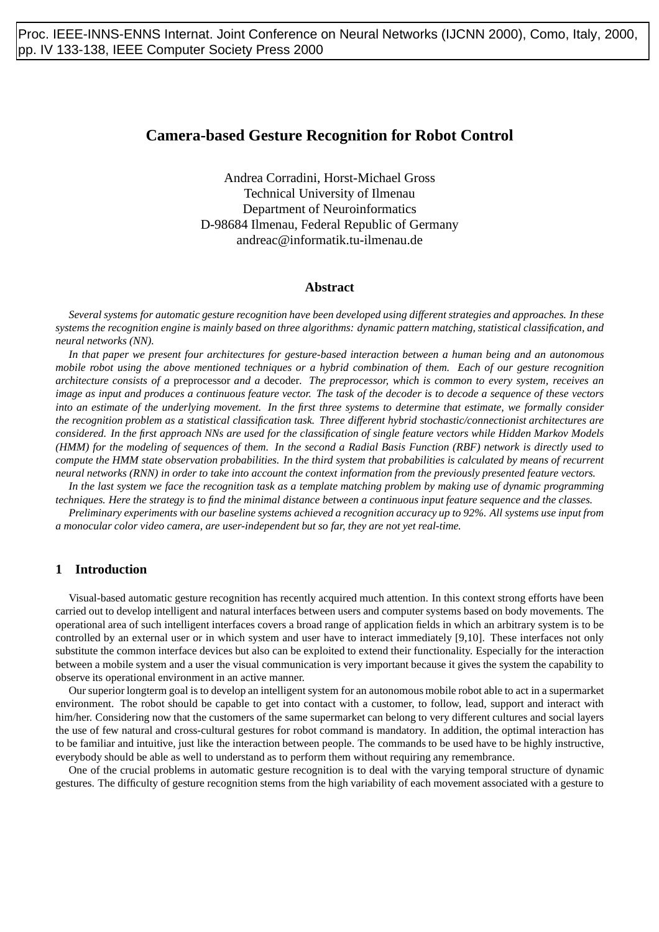# **Camera-based Gesture Recognition for Robot Control**

Andrea Corradini, Horst-Michael Gross Technical University of Ilmenau Department of Neuroinformatics D-98684 Ilmenau, Federal Republic of Germany andreac@informatik.tu-ilmenau.de

### **Abstract**

*Several systems for automatic gesture recognition have been developed using different strategies and approaches. In these systems the recognition engine is mainly based on three algorithms: dynamic pattern matching, statistical classification, and neural networks (NN).*

*In that paper we present four architectures for gesture-based interaction between a human being and an autonomous mobile robot using the above mentioned techniques or a hybrid combination of them. Each of our gesture recognition architecture consists of a* preprocessor *and a* decoder*. The preprocessor, which is common to every system, receives an image as input and produces a continuous feature vector. The task of the decoder is to decode a sequence of these vectors into an estimate of the underlying movement. In the first three systems to determine that estimate, we formally consider the recognition problem as a statistical classification task. Three different hybrid stochastic/connectionist architectures are considered. In the first approach NNs are used for the classification of single feature vectors while Hidden Markov Models (HMM) for the modeling of sequences of them. In the second a Radial Basis Function (RBF) network is directly used to compute the HMM state observation probabilities. In the third system that probabilities is calculated by means of recurrent neural networks (RNN) in order to take into account the context information from the previously presented feature vectors.*

*In the last system we face the recognition task as a template matching problem by making use of dynamic programming techniques. Here the strategy is to find the minimal distance between a continuous input feature sequence and the classes.*

*Preliminary experiments with our baseline systems achieved a recognition accuracy up to 92%. All systems use input from a monocular color video camera, are user-independent but so far, they are not yet real-time.*

# **1 Introduction**

Visual-based automatic gesture recognition has recently acquired much attention. In this context strong efforts have been carried out to develop intelligent and natural interfaces between users and computer systems based on body movements. The operational area of such intelligent interfaces covers a broad range of application fields in which an arbitrary system is to be controlled by an external user or in which system and user have to interact immediately [9,10]. These interfaces not only substitute the common interface devices but also can be exploited to extend their functionality. Especially for the interaction between a mobile system and a user the visual communication is very important because it gives the system the capability to observe its operational environment in an active manner.

Our superior longterm goal is to develop an intelligent system for an autonomous mobile robot able to act in a supermarket environment. The robot should be capable to get into contact with a customer, to follow, lead, support and interact with him/her. Considering now that the customers of the same supermarket can belong to very different cultures and social layers the use of few natural and cross-cultural gestures for robot command is mandatory. In addition, the optimal interaction has to be familiar and intuitive, just like the interaction between people. The commands to be used have to be highly instructive, everybody should be able as well to understand as to perform them without requiring any remembrance.

One of the crucial problems in automatic gesture recognition is to deal with the varying temporal structure of dynamic gestures. The difficulty of gesture recognition stems from the high variability of each movement associated with a gesture to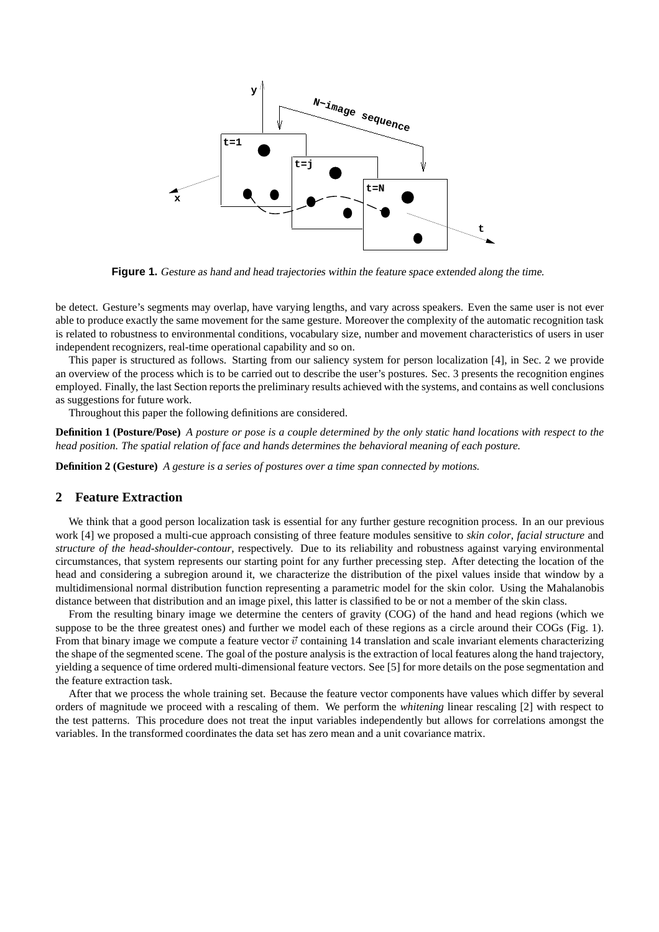

**Figure 1.** Gesture as hand and head trajectories within the feature space extended along the time.

be detect. Gesture's segments may overlap, have varying lengths, and vary across speakers. Even the same user is not ever able to produce exactly the same movement for the same gesture. Moreover the complexity of the automatic recognition task is related to robustness to environmental conditions, vocabulary size, number and movement characteristics of users in user independent recognizers, real-time operational capability and so on.

This paper is structured as follows. Starting from our saliency system for person localization [4], in Sec. 2 we provide an overview of the process which is to be carried out to describe the user's postures. Sec. 3 presents the recognition engines employed. Finally, the last Section reports the preliminary results achieved with the systems, and contains as well conclusions as suggestions for future work.

Throughout this paper the following definitions are considered.

**Definition 1 (Posture/Pose)** *A posture or pose is a couple determined by the only static hand locations with respect to the head position. The spatial relation of face and hands determines the behavioral meaning of each posture.*

**Definition 2 (Gesture)** *A gesture is a series of postures over a time span connected by motions.*

# **2 Feature Extraction**

We think that a good person localization task is essential for any further gesture recognition process. In an our previous work [4] we proposed a multi-cue approach consisting of three feature modules sensitive to *skin color*, *facial structure* and *structure of the head-shoulder-contour*, respectively. Due to its reliability and robustness against varying environmental circumstances, that system represents our starting point for any further precessing step. After detecting the location of the head and considering a subregion around it, we characterize the distribution of the pixel values inside that window by a multidimensional normal distribution function representing a parametric model for the skin color. Using the Mahalanobis distance between that distribution and an image pixel, this latter is classified to be or not a member of the skin class.

From the resulting binary image we determine the centers of gravity (COG) of the hand and head regions (which we suppose to be the three greatest ones) and further we model each of these regions as a circle around their COGs (Fig. 1). From that binary image we compute a feature vector  $\vec{v}$  containing 14 translation and scale invariant elements characterizing the shape of the segmented scene. The goal of the posture analysis is the extraction of local features along the hand trajectory, yielding a sequence of time ordered multi-dimensional feature vectors. See [5] for more details on the pose segmentation and the feature extraction task.

After that we process the whole training set. Because the feature vector components have values which differ by several orders of magnitude we proceed with a rescaling of them. We perform the *whitening* linear rescaling [2] with respect to the test patterns. This procedure does not treat the input variables independently but allows for correlations amongst the variables. In the transformed coordinates the data set has zero mean and a unit covariance matrix.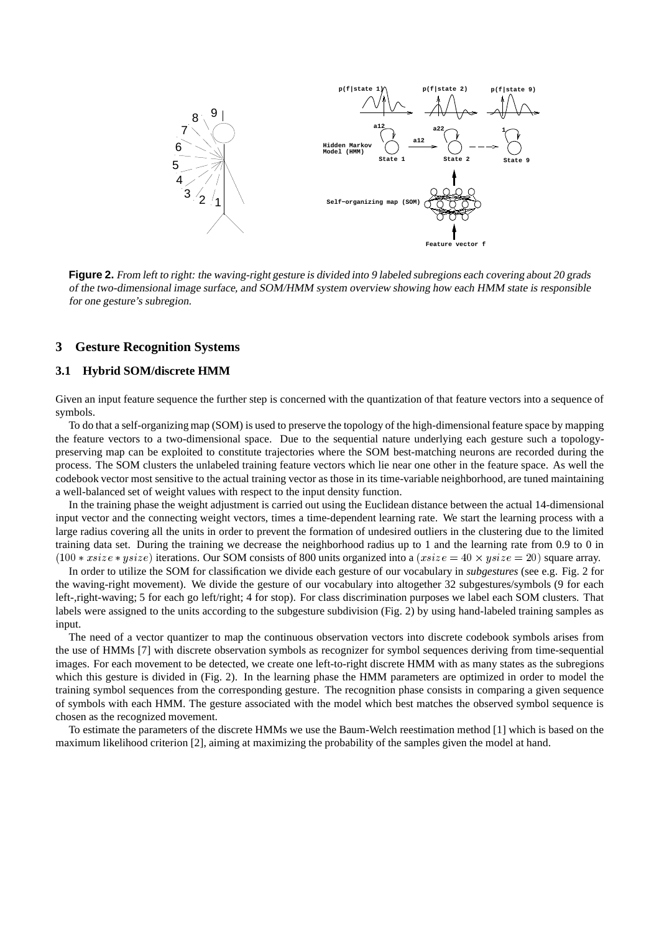

**Figure 2.** From left to right: the waving-right gesture is divided into 9 labeled subregions each covering about 20 grads of the two-dimensional image surface, and SOM/HMM system overview showing how each HMM state is responsible for one gesture's subregion.

#### **3 Gesture Recognition Systems**

### **3.1 Hybrid SOM/discrete HMM**

Given an input feature sequence the further step is concerned with the quantization of that feature vectors into a sequence of symbols.

To do that a self-organizing map (SOM) is used to preserve the topology of the high-dimensional feature space by mapping the feature vectors to a two-dimensional space. Due to the sequential nature underlying each gesture such a topologypreserving map can be exploited to constitute trajectories where the SOM best-matching neurons are recorded during the process. The SOM clusters the unlabeled training feature vectors which lie near one other in the feature space. As well the codebook vector most sensitive to the actual training vector as those in its time-variable neighborhood, are tuned maintaining a well-balanced set of weight values with respect to the input density function.

In the training phase the weight adjustment is carried out using the Euclidean distance between the actual 14-dimensional input vector and the connecting weight vectors, times a time-dependent learning rate. We start the learning process with a large radius covering all the units in order to prevent the formation of undesired outliers in the clustering due to the limited training data set. During the training we decrease the neighborhood radius up to 1 and the learning rate from 0.9 to 0 in  $(100 * xsize * ysize)$  iterations. Our SOM consists of 800 units organized into a  $(xsize = 40 \times ysize = 20)$  square array.

In order to utilize the SOM for classification we divide each gesture of our vocabulary in *subgestures* (see e.g. Fig. 2 for the waving-right movement). We divide the gesture of our vocabulary into altogether 32 subgestures/symbols (9 for each left-,right-waving; 5 for each go left/right; 4 for stop). For class discrimination purposes we label each SOM clusters. That labels were assigned to the units according to the subgesture subdivision (Fig. 2) by using hand-labeled training samples as input.

The need of a vector quantizer to map the continuous observation vectors into discrete codebook symbols arises from the use of HMMs [7] with discrete observation symbols as recognizer for symbol sequences deriving from time-sequential images. For each movement to be detected, we create one left-to-right discrete HMM with as many states as the subregions which this gesture is divided in (Fig. 2). In the learning phase the HMM parameters are optimized in order to model the training symbol sequences from the corresponding gesture. The recognition phase consists in comparing a given sequence of symbols with each HMM. The gesture associated with the model which best matches the observed symbol sequence is chosen as the recognized movement.

To estimate the parameters of the discrete HMMs we use the Baum-Welch reestimation method [1] which is based on the maximum likelihood criterion [2], aiming at maximizing the probability of the samples given the model at hand.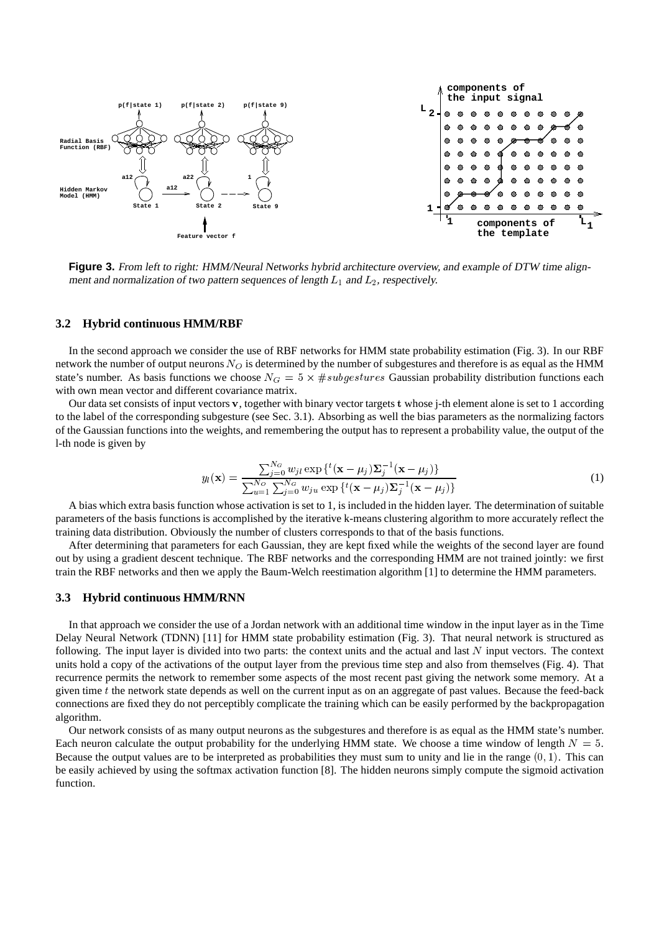

**Figure 3.** From left to right: HMM/Neural Networks hybrid architecture overview, and example of DTW time alignment and normalization of two pattern sequences of length  $L_1$  and  $L_2$ , respectively.

#### **3.2 Hybrid continuous HMM/RBF**

In the second approach we consider the use of RBF networks for HMM state probability estimation (Fig. 3). In our RBF network the number of output neurons  $N_O$  is determined by the number of subgestures and therefore is as equal as the HMM state's number. As basis functions we choose  $N_G = 5 \times #subgestures$  Gaussian probability distribution functions each with own mean vector and different covariance matrix.

Our data set consists of input vectors v, together with binary vector targets t whose j-th element alone is set to 1 according to the label of the corresponding subgesture (see Sec. 3.1). Absorbing as well the bias parameters as the normalizing factors of the Gaussian functions into the weights, and remembering the output has to represent a probability value, the output of the l-th node is given by

$$
y_l(\mathbf{x}) = \frac{\sum_{j=0}^{N_G} w_{jl} \exp\left\{t(\mathbf{x} - \mu_j)\sum_j^{-1}(\mathbf{x} - \mu_j)\right\}}{\sum_{u=1}^{N_G} \sum_{j=0}^{N_G} w_{ju} \exp\left\{t(\mathbf{x} - \mu_j)\sum_j^{-1}(\mathbf{x} - \mu_j)\right\}}
$$
(1)

A bias which extra basis function whose activation is set to 1, is included in the hidden layer. The determination of suitable parameters of the basis functions is accomplished by the iterative k-means clustering algorithm to more accurately reflect the training data distribution. Obviously the number of clusters corresponds to that of the basis functions.

After determining that parameters for each Gaussian, they are kept fixed while the weights of the second layer are found out by using a gradient descent technique. The RBF networks and the corresponding HMM are not trained jointly: we first train the RBF networks and then we apply the Baum-Welch reestimation algorithm [1] to determine the HMM parameters.

### **3.3 Hybrid continuous HMM/RNN**

In that approach we consider the use of a Jordan network with an additional time window in the input layer as in the Time Delay Neural Network (TDNN) [11] for HMM state probability estimation (Fig. 3). That neural network is structured as following. The input layer is divided into two parts: the context units and the actual and last  $N$  input vectors. The context units hold a copy of the activations of the output layer from the previous time step and also from themselves (Fig. 4). That recurrence permits the network to remember some aspects of the most recent past giving the network some memory. At a given time  $t$  the network state depends as well on the current input as on an aggregate of past values. Because the feed-back connections are fixed they do not perceptibly complicate the training which can be easily performed by the backpropagation algorithm.

Our network consists of as many output neurons as the subgestures and therefore is as equal as the HMM state's number. Each neuron calculate the output probability for the underlying HMM state. We choose a time window of length  $N = 5$ . Because the output values are to be interpreted as probabilities they must sum to unity and lie in the range  $(0, 1)$ . This can be easily achieved by using the softmax activation function [8]. The hidden neurons simply compute the sigmoid activation function.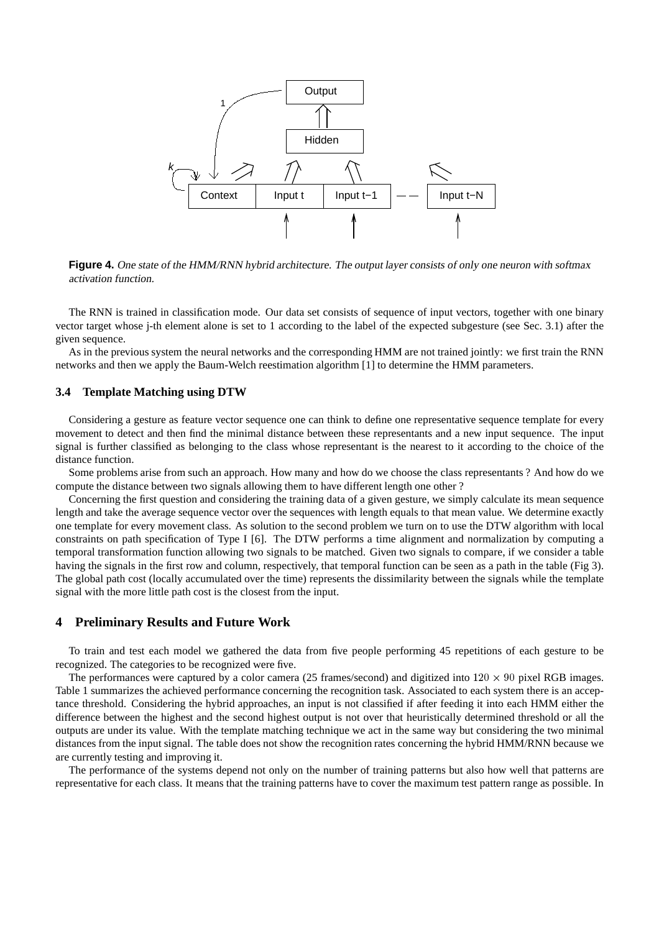

**Figure 4.** One state of the HMM/RNN hybrid architecture. The output layer consists of only one neuron with softmax activation function.

The RNN is trained in classification mode. Our data set consists of sequence of input vectors, together with one binary vector target whose j-th element alone is set to 1 according to the label of the expected subgesture (see Sec. 3.1) after the given sequence.

As in the previous system the neural networks and the corresponding HMM are not trained jointly: we first train the RNN networks and then we apply the Baum-Welch reestimation algorithm [1] to determine the HMM parameters.

## **3.4 Template Matching using DTW**

Considering a gesture as feature vector sequence one can think to define one representative sequence template for every movement to detect and then find the minimal distance between these representants and a new input sequence. The input signal is further classified as belonging to the class whose representant is the nearest to it according to the choice of the distance function.

Some problems arise from such an approach. How many and how do we choose the class representants ? And how do we compute the distance between two signals allowing them to have different length one other ?

Concerning the first question and considering the training data of a given gesture, we simply calculate its mean sequence length and take the average sequence vector over the sequences with length equals to that mean value. We determine exactly one template for every movement class. As solution to the second problem we turn on to use the DTW algorithm with local constraints on path specification of Type I [6]. The DTW performs a time alignment and normalization by computing a temporal transformation function allowing two signals to be matched. Given two signals to compare, if we consider a table having the signals in the first row and column, respectively, that temporal function can be seen as a path in the table (Fig 3). The global path cost (locally accumulated over the time) represents the dissimilarity between the signals while the template signal with the more little path cost is the closest from the input.

# **4 Preliminary Results and Future Work**

To train and test each model we gathered the data from five people performing 45 repetitions of each gesture to be recognized. The categories to be recognized were five.

The performances were captured by a color camera (25 frames/second) and digitized into  $120 \times 90$  pixel RGB images. Table 1 summarizes the achieved performance concerning the recognition task. Associated to each system there is an acceptance threshold. Considering the hybrid approaches, an input is not classified if after feeding it into each HMM either the difference between the highest and the second highest output is not over that heuristically determined threshold or all the outputs are under its value. With the template matching technique we act in the same way but considering the two minimal distances from the input signal. The table does not show the recognition rates concerning the hybrid HMM/RNN because we are currently testing and improving it.

The performance of the systems depend not only on the number of training patterns but also how well that patterns are representative for each class. It means that the training patterns have to cover the maximum test pattern range as possible. In